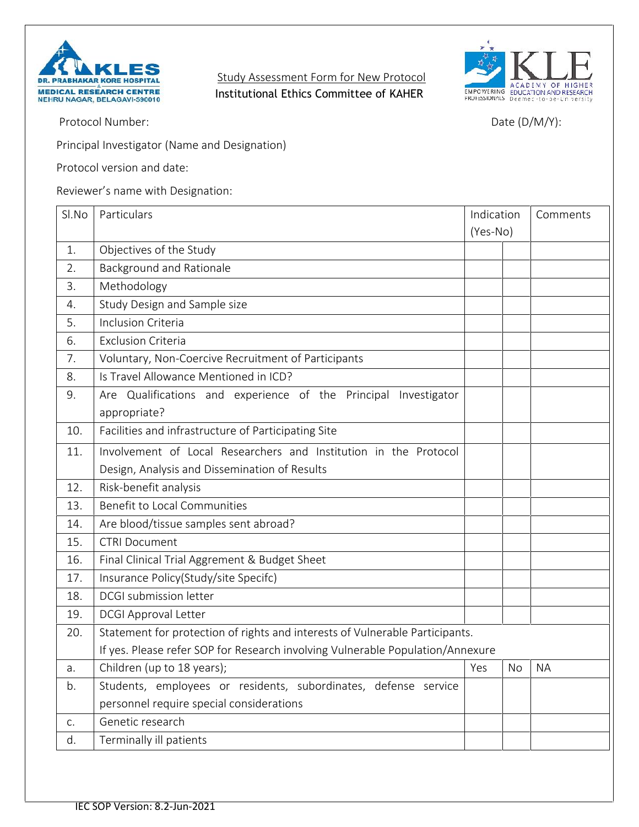

**Study Assessment Form for New Protocol Institutional Ethics Committee of KAHER** 



Protocol Number: Date (D/M/Y):

Principal Investigator (Name and Designation)

Protocol version and date:

Reviewer's name with Designation:

| Sl.No | Particulars                                                                    | Indication |    | Comments  |  |  |
|-------|--------------------------------------------------------------------------------|------------|----|-----------|--|--|
|       |                                                                                | (Yes-No)   |    |           |  |  |
| 1.    | Objectives of the Study                                                        |            |    |           |  |  |
| 2.    | Background and Rationale                                                       |            |    |           |  |  |
| 3.    | Methodology                                                                    |            |    |           |  |  |
| 4.    | Study Design and Sample size                                                   |            |    |           |  |  |
| 5.    | Inclusion Criteria                                                             |            |    |           |  |  |
| 6.    | <b>Exclusion Criteria</b>                                                      |            |    |           |  |  |
| 7.    | Voluntary, Non-Coercive Recruitment of Participants                            |            |    |           |  |  |
| 8.    | Is Travel Allowance Mentioned in ICD?                                          |            |    |           |  |  |
| 9.    | Are Qualifications and experience of the Principal<br>Investigator             |            |    |           |  |  |
|       | appropriate?                                                                   |            |    |           |  |  |
| 10.   | Facilities and infrastructure of Participating Site                            |            |    |           |  |  |
| 11.   | Involvement of Local Researchers and Institution in the Protocol               |            |    |           |  |  |
|       | Design, Analysis and Dissemination of Results                                  |            |    |           |  |  |
| 12.   | Risk-benefit analysis                                                          |            |    |           |  |  |
| 13.   | Benefit to Local Communities                                                   |            |    |           |  |  |
| 14.   | Are blood/tissue samples sent abroad?                                          |            |    |           |  |  |
| 15.   | <b>CTRI Document</b>                                                           |            |    |           |  |  |
| 16.   | Final Clinical Trial Aggrement & Budget Sheet                                  |            |    |           |  |  |
| 17.   | Insurance Policy(Study/site Specifc)                                           |            |    |           |  |  |
| 18.   | DCGI submission letter                                                         |            |    |           |  |  |
| 19.   | <b>DCGI Approval Letter</b>                                                    |            |    |           |  |  |
| 20.   | Statement for protection of rights and interests of Vulnerable Participants.   |            |    |           |  |  |
|       | If yes. Please refer SOP for Research involving Vulnerable Population/Annexure |            |    |           |  |  |
| a.    | Children (up to 18 years);                                                     | Yes        | No | <b>NA</b> |  |  |
| b.    | Students, employees or residents, subordinates, defense service                |            |    |           |  |  |
|       | personnel require special considerations                                       |            |    |           |  |  |
| C.    | Genetic research                                                               |            |    |           |  |  |
| d.    | Terminally ill patients                                                        |            |    |           |  |  |